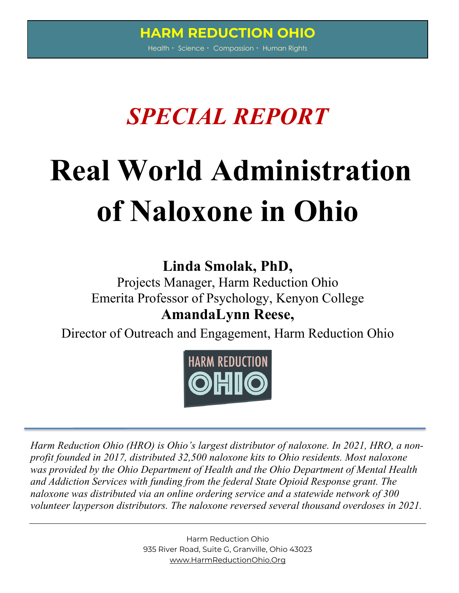## **HARM REDUCTION OHIO**

Health · Science · Compassion · Human Rights

## *SPECIAL REPORT*

# **Real World Administration of Naloxone in Ohio**

## **Linda Smolak, PhD,**

Projects Manager, Harm Reduction Ohio Emerita Professor of Psychology, Kenyon College

## **AmandaLynn Reese,**

Director of Outreach and Engagement, Harm Reduction Ohio



*Harm Reduction Ohio (HRO) is Ohio's largest distributor of naloxone. In 2021, HRO, a nonprofit founded in 2017, distributed 32,500 naloxone kits to Ohio residents. Most naloxone was provided by the Ohio Department of Health and the Ohio Department of Mental Health and Addiction Services with funding from the federal State Opioid Response grant. The naloxone was distributed via an online ordering service and a statewide network of 300 volunteer layperson distributors. The naloxone reversed several thousand overdoses in 2021.*

> Harm Reduction Ohio 935 River Road, Suite G, Granville, Ohio 43023 www.HarmReductionOhio.Org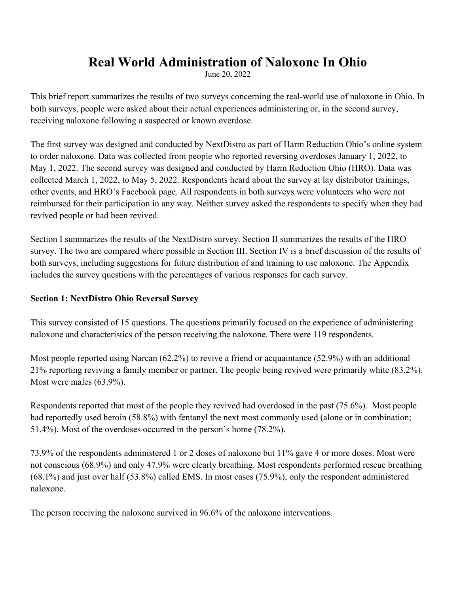## **Real World Administration of Naloxone In Ohio**

June 20, 2022

This brief report summarizes the results of two surveys concerning the real-world use of naloxone in Ohio. In both surveys, people were asked about their actual experiences administering or, in the second survey, receiving naloxone following a suspected or known overdose.

The first survey was designed and conducted by NextDistro as part of Harm Reduction Ohio's online system to order naloxone. Data was collected from people who reported reversing overdoses January 1, 2022, to May 1, 2022. The second survey was designed and conducted by Harm Reduction Ohio (HRO). Data was collected March 1, 2022, to May 5, 2022. Respondents heard about the survey at lay distributor trainings, other events, and HRO's Facebook page. All respondents in both surveys were volunteers who were not reimbursed for their participation in any way. Neither survey asked the respondents to specify when they had revived people or had been revived.

Section I summarizes the results of the NextDistro survey. Section II summarizes the results of the HRO survey. The two are compared where possible in Section III. Section IV is a brief discussion of the results of both surveys, including suggestions for future distribution of and training to use naloxone. The Appendix includes the survey questions with the percentages of various responses for each survey.

#### **Section 1: NextDistro Ohio Reversal Survey**

This survey consisted of 15 questions. The questions primarily focused on the experience of administering naloxone and characteristics of the person receiving the naloxone. There were 119 respondents.

Most people reported using Narcan (62.2%) to revive a friend or acquaintance (52.9%) with an additional 21% reporting reviving a family member or partner. The people being revived were primarily white (83.2%). Most were males (63.9%).

Respondents reported that most of the people they revived had overdosed in the past (75.6%). Most people had reportedly used heroin (58.8%) with fentanyl the next most commonly used (alone or in combination; 51.4%). Most of the overdoses occurred in the person's home (78.2%).

73.9% of the respondents administered 1 or 2 doses of naloxone but 11% gave 4 or more doses. Most were not conscious (68.9%) and only 47.9% were clearly breathing. Most respondents performed rescue breathing (68.1%) and just over half (53.8%) called EMS. In most cases (75.9%), only the respondent administered naloxone.

The person receiving the naloxone survived in 96.6% of the naloxone interventions.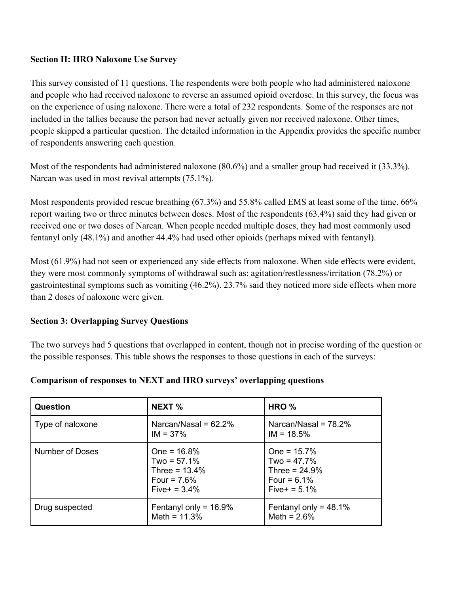#### **Section II: HRO Naloxone Use Survey**

This survey consisted of 11 questions. The respondents were both people who had administered naloxone and people who had received naloxone to reverse an assumed opioid overdose. In this survey, the focus was on the experience of using naloxone. There were a total of 232 respondents. Some of the responses are not included in the tallies because the person had never actually given nor received naloxone. Other times, people skipped a particular question. The detailed information in the Appendix provides the specific number of respondents answering each question.

Most of the respondents had administered naloxone (80.6%) and a smaller group had received it (33.3%). Narcan was used in most revival attempts (75.1%).

Most respondents provided rescue breathing (67.3%) and 55.8% called EMS at least some of the time. 66% report waiting two or three minutes between doses. Most of the respondents (63.4%) said they had given or received one or two doses of Narcan. When people needed multiple doses, they had most commonly used fentanyl only (48.1%) and another 44.4% had used other opioids (perhaps mixed with fentanyl).

Most (61.9%) had not seen or experienced any side effects from naloxone. When side effects were evident, they were most commonly symptoms of withdrawal such as: agitation/restlessness/irritation (78.2%) or gastrointestinal symptoms such as vomiting (46.2%). 23.7% said they noticed more side effects when more than 2 doses of naloxone were given.

#### **Section 3: Overlapping Survey Questions**

The two surveys had 5 questions that overlapped in content, though not in precise wording of the question or the possible responses. This table shows the responses to those questions in each of the surveys:

| Question         | <b>NEXT %</b>                                                                            | HRO %                                                                                    |
|------------------|------------------------------------------------------------------------------------------|------------------------------------------------------------------------------------------|
| Type of naloxone | Narcan/Nasal = $62.2\%$<br>$IM = 37\%$                                                   | Narcan/Nasal = $78.2\%$<br>$IM = 18.5%$                                                  |
| Number of Doses  | One = $16.8%$<br>Two = $57.1\%$<br>Three = $13.4%$<br>Four = $7.6\%$<br>Five + = $3.4\%$ | One = $15.7\%$<br>Two = $47.7\%$<br>Three = $24.9%$<br>Four = $6.1\%$<br>$Five + = 5.1%$ |
| Drug suspected   | Fentanyl only = $16.9\%$<br>Meth = $11.3%$                                               | Fentanyl only = $48.1\%$<br>Meth = $2.6%$                                                |

#### **Comparison of responses to NEXT and HRO surveys' overlapping questions**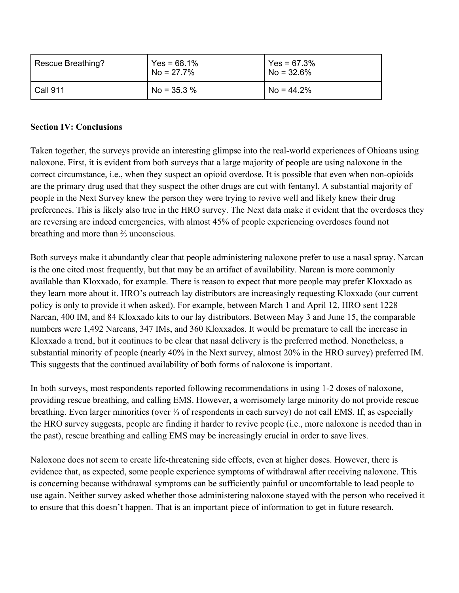| Rescue Breathing? | $Yes = 68.1\%$<br>$No = 27.7%$ | $Yes = 67.3\%$<br>$No = 32.6\%$ |
|-------------------|--------------------------------|---------------------------------|
| Call 911          | $No = 35.3 %$                  | $No = 44.2%$                    |

#### **Section IV: Conclusions**

Taken together, the surveys provide an interesting glimpse into the real-world experiences of Ohioans using naloxone. First, it is evident from both surveys that a large majority of people are using naloxone in the correct circumstance, i.e., when they suspect an opioid overdose. It is possible that even when non-opioids are the primary drug used that they suspect the other drugs are cut with fentanyl. A substantial majority of people in the Next Survey knew the person they were trying to revive well and likely knew their drug preferences. This is likely also true in the HRO survey. The Next data make it evident that the overdoses they are reversing are indeed emergencies, with almost 45% of people experiencing overdoses found not breathing and more than ⅔ unconscious.

Both surveys make it abundantly clear that people administering naloxone prefer to use a nasal spray. Narcan is the one cited most frequently, but that may be an artifact of availability. Narcan is more commonly available than Kloxxado, for example. There is reason to expect that more people may prefer Kloxxado as they learn more about it. HRO's outreach lay distributors are increasingly requesting Kloxxado (our current policy is only to provide it when asked). For example, between March 1 and April 12, HRO sent 1228 Narcan, 400 IM, and 84 Kloxxado kits to our lay distributors. Between May 3 and June 15, the comparable numbers were 1,492 Narcans, 347 IMs, and 360 Kloxxados. It would be premature to call the increase in Kloxxado a trend, but it continues to be clear that nasal delivery is the preferred method. Nonetheless, a substantial minority of people (nearly 40% in the Next survey, almost 20% in the HRO survey) preferred IM. This suggests that the continued availability of both forms of naloxone is important.

In both surveys, most respondents reported following recommendations in using 1-2 doses of naloxone, providing rescue breathing, and calling EMS. However, a worrisomely large minority do not provide rescue breathing. Even larger minorities (over ⅓ of respondents in each survey) do not call EMS. If, as especially the HRO survey suggests, people are finding it harder to revive people (i.e., more naloxone is needed than in the past), rescue breathing and calling EMS may be increasingly crucial in order to save lives.

Naloxone does not seem to create life-threatening side effects, even at higher doses. However, there is evidence that, as expected, some people experience symptoms of withdrawal after receiving naloxone. This is concerning because withdrawal symptoms can be sufficiently painful or uncomfortable to lead people to use again. Neither survey asked whether those administering naloxone stayed with the person who received it to ensure that this doesn't happen. That is an important piece of information to get in future research.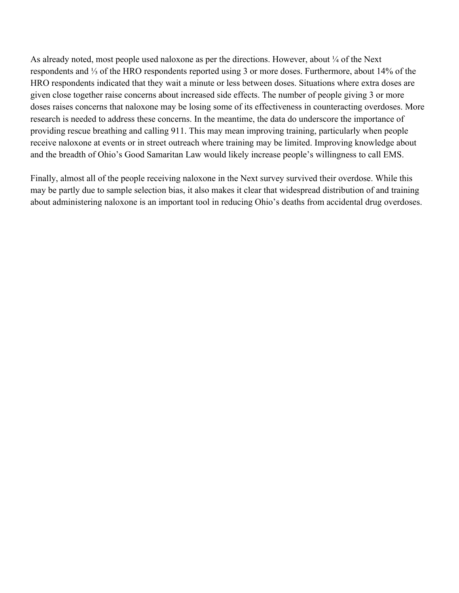As already noted, most people used naloxone as per the directions. However, about  $\frac{1}{4}$  of the Next respondents and ⅓ of the HRO respondents reported using 3 or more doses. Furthermore, about 14% of the HRO respondents indicated that they wait a minute or less between doses. Situations where extra doses are given close together raise concerns about increased side effects. The number of people giving 3 or more doses raises concerns that naloxone may be losing some of its effectiveness in counteracting overdoses. More research is needed to address these concerns. In the meantime, the data do underscore the importance of providing rescue breathing and calling 911. This may mean improving training, particularly when people receive naloxone at events or in street outreach where training may be limited. Improving knowledge about and the breadth of Ohio's Good Samaritan Law would likely increase people's willingness to call EMS.

Finally, almost all of the people receiving naloxone in the Next survey survived their overdose. While this may be partly due to sample selection bias, it also makes it clear that widespread distribution of and training about administering naloxone is an important tool in reducing Ohio's deaths from accidental drug overdoses.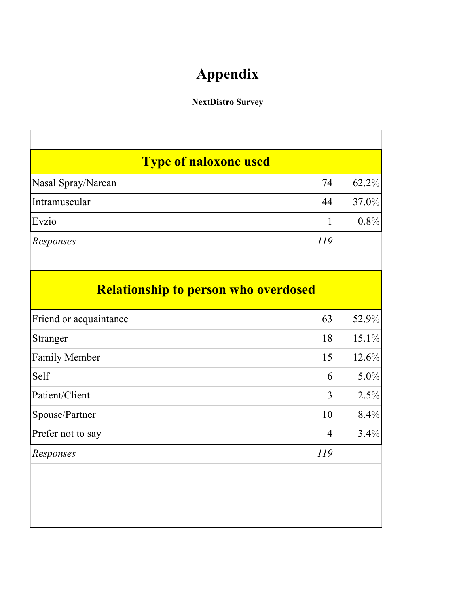## **Appendix**

### **NextDistro Survey**

| <b>Type of naloxone used</b>                |                |       |
|---------------------------------------------|----------------|-------|
| Nasal Spray/Narcan                          | 74             | 62.2% |
| Intramuscular                               | 44             | 37.0% |
| Evzio                                       | 1              | 0.8%  |
| Responses                                   | 119            |       |
| <b>Relationship to person who overdosed</b> |                |       |
| Friend or acquaintance                      | 63             | 52.9% |
| Stranger                                    | 18             | 15.1% |
| <b>Family Member</b>                        | 15             | 12.6% |
| Self                                        | 6              | 5.0%  |
| Patient/Client                              | 3              | 2.5%  |
| Spouse/Partner                              | 10             | 8.4%  |
| Prefer not to say                           | $\overline{4}$ | 3.4%  |
| Responses                                   | 119            |       |
|                                             |                |       |
|                                             |                |       |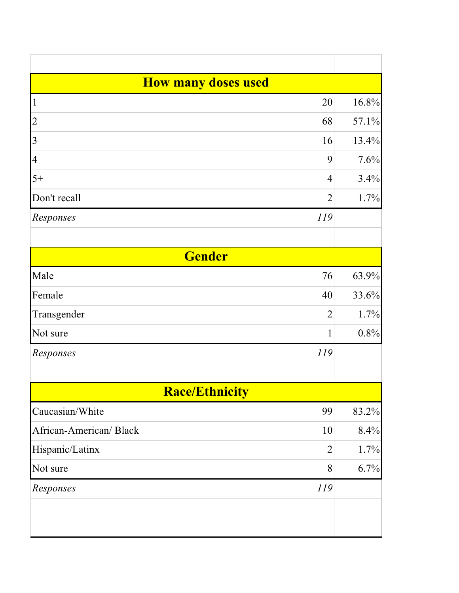| <b>How many doses used</b> |                |       |
|----------------------------|----------------|-------|
| $\mathbf{1}$               | 20             | 16.8% |
| $\overline{2}$             | 68             | 57.1% |
| $\overline{3}$             | 16             | 13.4% |
| $\overline{4}$             | 9              | 7.6%  |
| $5+$                       | $\overline{4}$ | 3.4%  |
| Don't recall               | $\overline{2}$ | 1.7%  |
| Responses                  | 119            |       |
|                            |                |       |
| <b>Gender</b>              |                |       |
| Male                       | 76             | 63.9% |
| Female                     | 40             | 33.6% |
| Transgender                | $\overline{2}$ | 1.7%  |
| Not sure                   | 1              | 0.8%  |
| Responses                  | 119            |       |
|                            |                |       |
| <b>Race/Ethnicity</b>      |                |       |
| Caucasian/White            | 99             | 83.2% |
| African-American/Black     | 10             | 8.4%  |
| Hispanic/Latinx            | $\overline{2}$ | 1.7%  |
| Not sure                   | 8              | 6.7%  |
| Responses                  | 119            |       |
|                            |                |       |
|                            |                |       |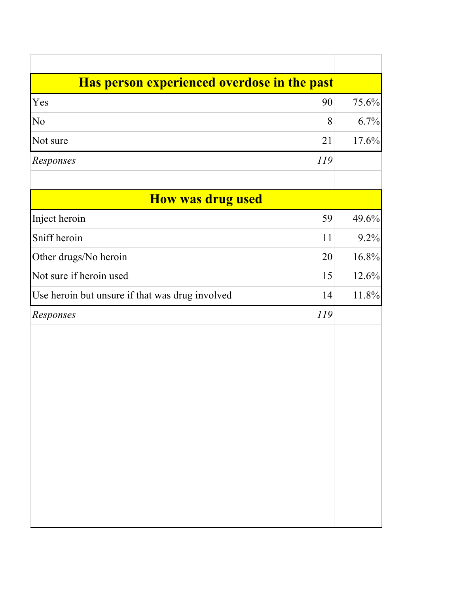| Has person experienced overdose in the past     |     |       |
|-------------------------------------------------|-----|-------|
| Yes                                             | 90  | 75.6% |
| No                                              | 8   | 6.7%  |
| Not sure                                        | 21  | 17.6% |
| Responses                                       | 119 |       |
|                                                 |     |       |
| <b>How was drug used</b>                        |     |       |
| Inject heroin                                   | 59  | 49.6% |
| Sniff heroin                                    | 11  | 9.2%  |
| Other drugs/No heroin                           | 20  | 16.8% |
| Not sure if heroin used                         | 15  | 12.6% |
| Use heroin but unsure if that was drug involved | 14  | 11.8% |
| Responses                                       | 119 |       |
|                                                 |     |       |
|                                                 |     |       |
|                                                 |     |       |
|                                                 |     |       |
|                                                 |     |       |
|                                                 |     |       |
|                                                 |     |       |
|                                                 |     |       |
|                                                 |     |       |
|                                                 |     |       |
|                                                 |     |       |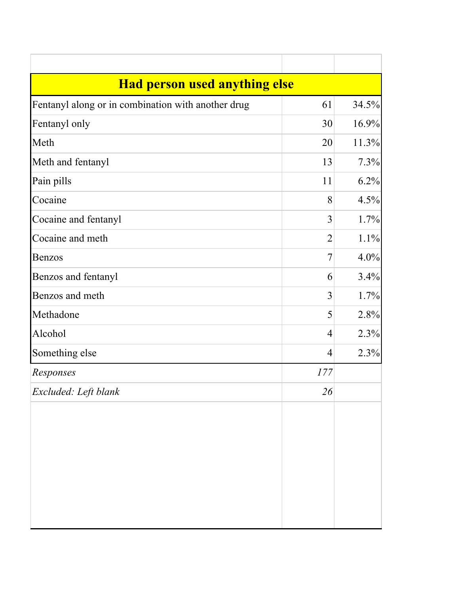| <b>Had person used anything else</b>               |                |       |
|----------------------------------------------------|----------------|-------|
| Fentanyl along or in combination with another drug | 61             | 34.5% |
| Fentanyl only                                      | 30             | 16.9% |
| Meth                                               | 20             | 11.3% |
| Meth and fentanyl                                  | 13             | 7.3%  |
| Pain pills                                         | 11             | 6.2%  |
| Cocaine                                            | 8              | 4.5%  |
| Cocaine and fentanyl                               | 3              | 1.7%  |
| Cocaine and meth                                   | $\overline{2}$ | 1.1%  |
| <b>Benzos</b>                                      | 7              | 4.0%  |
| Benzos and fentanyl                                | 6              | 3.4%  |
| Benzos and meth                                    | 3              | 1.7%  |
| Methadone                                          | 5              | 2.8%  |
| Alcohol                                            | $\overline{4}$ | 2.3%  |
| Something else                                     | $\overline{4}$ | 2.3%  |
| Responses                                          | 177            |       |
| Excluded: Left blank                               | 26             |       |
|                                                    |                |       |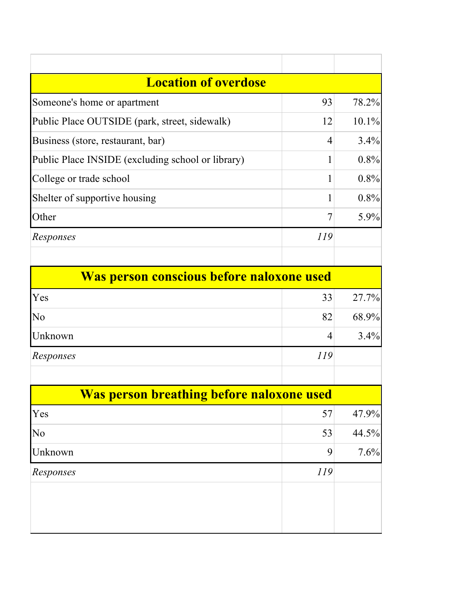| <b>Location of overdose</b>                       |                |       |
|---------------------------------------------------|----------------|-------|
| Someone's home or apartment                       | 93             | 78.2% |
| Public Place OUTSIDE (park, street, sidewalk)     | 12             | 10.1% |
| Business (store, restaurant, bar)                 | $\overline{4}$ | 3.4%  |
| Public Place INSIDE (excluding school or library) | 1              | 0.8%  |
| College or trade school                           | 1              | 0.8%  |
| Shelter of supportive housing                     | 1              | 0.8%  |
| Other                                             | 7              | 5.9%  |
| Responses                                         | 119            |       |
|                                                   |                |       |
| Was person conscious before naloxone used         |                |       |
| Yes                                               | 33             | 27.7% |
| No                                                | 82             | 68.9% |
| Unknown                                           | 4              | 3.4%  |
| Responses                                         | 119            |       |
|                                                   |                |       |
| Was person breathing before naloxone used         |                |       |
| Yes                                               | 57             | 47.9% |
| No                                                | 53             | 44.5% |
| Unknown                                           | 9              | 7.6%  |
| Responses                                         | 119            |       |
|                                                   |                |       |
|                                                   |                |       |
|                                                   |                |       |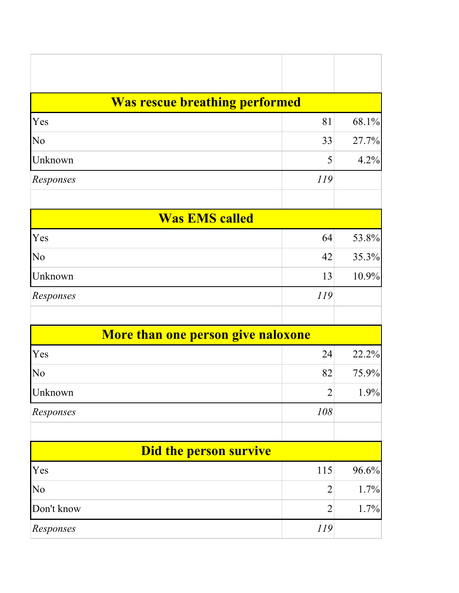| <b>Was rescue breathing performed</b> |                |       |
|---------------------------------------|----------------|-------|
| Yes                                   | 81             | 68.1% |
| No                                    | 33             | 27.7% |
| Unknown                               | 5              | 4.2%  |
| Responses                             | 119            |       |
| <b>Was EMS called</b>                 |                |       |
| Yes                                   | 64             | 53.8% |
| No                                    | 42             | 35.3% |
| Unknown                               | 13             | 10.9% |
| Responses                             | 119            |       |
|                                       |                |       |
| More than one person give naloxone    |                |       |
| Yes                                   | 24             | 22.2% |
| No                                    | 82             | 75.9% |
| Unknown                               | $\overline{2}$ | 1.9%  |
| Responses                             | 108            |       |
|                                       |                |       |
| <b>Did the person survive</b>         |                |       |
| Yes                                   | 115            | 96.6% |
| No                                    | $\overline{2}$ | 1.7%  |
| Don't know                            | $\overline{2}$ | 1.7%  |
| Responses                             | 119            |       |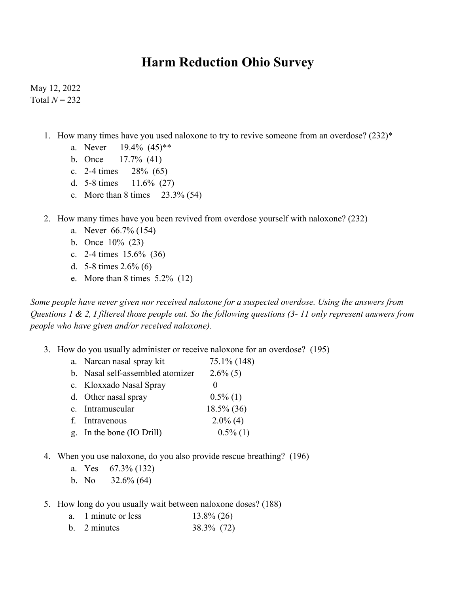## **Harm Reduction Ohio Survey**

May 12, 2022 Total  $N = 232$ 

- 1. How many times have you used naloxone to try to revive someone from an overdose? (232)\*
	- a. Never 19.4% (45)\*\*
	- b. Once 17.7% (41)
	- c. 2-4 times 28% (65)
	- d. 5-8 times 11.6% (27)
	- e. More than 8 times 23.3% (54)
- 2. How many times have you been revived from overdose yourself with naloxone? (232)
	- a. Never 66.7% (154)
	- b. Once 10% (23)
	- c. 2-4 times 15.6% (36)
	- d. 5-8 times 2.6% (6)
	- e. More than 8 times 5.2% (12)

*Some people have never given nor received naloxone for a suspected overdose. Using the answers from Questions 1 & 2, I filtered those people out. So the following questions (3- 11 only represent answers from people who have given and/or received naloxone).* 

3. How do you usually administer or receive naloxone for an overdose? (195)

| a. Narcan nasal spray kit        | $75.1\%$ (148) |
|----------------------------------|----------------|
| b. Nasal self-assembled atomizer | $2.6\%$ (5)    |
| c. Kloxxado Nasal Spray          |                |
| d. Other nasal spray             | $0.5\%$ (1)    |
| e. Intramuscular                 | 18.5% (36)     |
| f. Intravenous                   | $2.0\%$ (4)    |
| g. In the bone (IO Drill)        | $0.5\%$ (1)    |
|                                  |                |

- 4. When you use naloxone, do you also provide rescue breathing? (196)
	- a. Yes 67.3% (132)
	- b. No  $32.6\%$  (64)
- 5. How long do you usually wait between naloxone doses? (188)
	- a. 1 minute or less 13.8% (26)
	- b. 2 minutes 38.3% (72)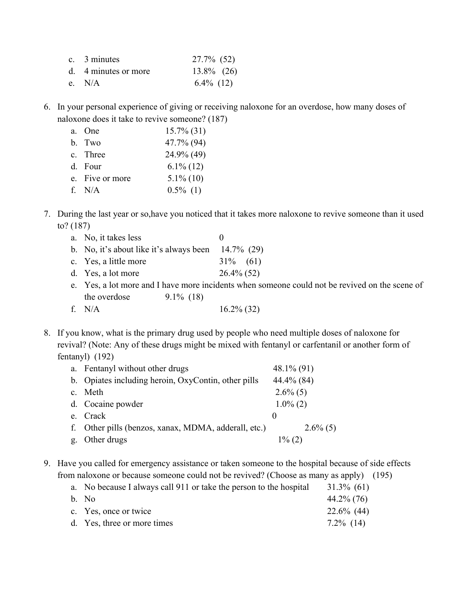| c. 3 minutes         | 27.7% (52)    |
|----------------------|---------------|
| d. 4 minutes or more | $13.8\%$ (26) |
| e. $N/A$             | $6.4\%$ (12)  |

6. In your personal experience of giving or receiving naloxone for an overdose, how many doses of naloxone does it take to revive someone? (187)

| a. One          | $15.7\%$ (31) |
|-----------------|---------------|
| b. Two          | 47.7% (94)    |
| c. Three        | 24.9% (49)    |
| d. Four         | $6.1\%$ (12)  |
| e. Five or more | $5.1\%$ (10)  |
| f. $N/A$        | $0.5\%$ (1)   |

7. During the last year or so,have you noticed that it takes more naloxone to revive someone than it used to? (187)

| a. No, it takes less                                  |               |
|-------------------------------------------------------|---------------|
| b. No, it's about like it's always been $14.7\%$ (29) |               |
| c. Yes, a little more                                 | $31\%$ (61)   |
| d. Yes, a lot more                                    | $26.4\%$ (52) |

- e. Yes, a lot more and I have more incidents when someone could not be revived on the scene of the overdose  $9.1\%$  (18)
- f. N/A  $16.2\%$  (32)

8. If you know, what is the primary drug used by people who need multiple doses of naloxone for revival? (Note: Any of these drugs might be mixed with fentanyl or carfentanil or another form of fentanyl) (192)

| a. Fentanyl without other drugs                      | $48.1\%$ (91) |
|------------------------------------------------------|---------------|
| b. Opiates including heroin, OxyContin, other pills  | 44.4% (84)    |
| c. Meth                                              | $2.6\%$ (5)   |
| d. Cocaine powder                                    | $1.0\%$ (2)   |
| e. Crack                                             |               |
| f. Other pills (benzos, xanax, MDMA, adderall, etc.) | $2.6\%$ (5)   |
| g. Other drugs                                       | $1\%$ (2)     |

9. Have you called for emergency assistance or taken someone to the hospital because of side effects from naloxone or because someone could not be revived? (Choose as many as apply) (195)

| a. No because I always call 911 or take the person to the hospital | $31.3\%$ (61) |
|--------------------------------------------------------------------|---------------|
| b. No                                                              | $44.2\%$ (76) |
| c. Yes, once or twice                                              | $22.6\%$ (44) |
| d. Yes, three or more times                                        | $7.2\%$ (14)  |